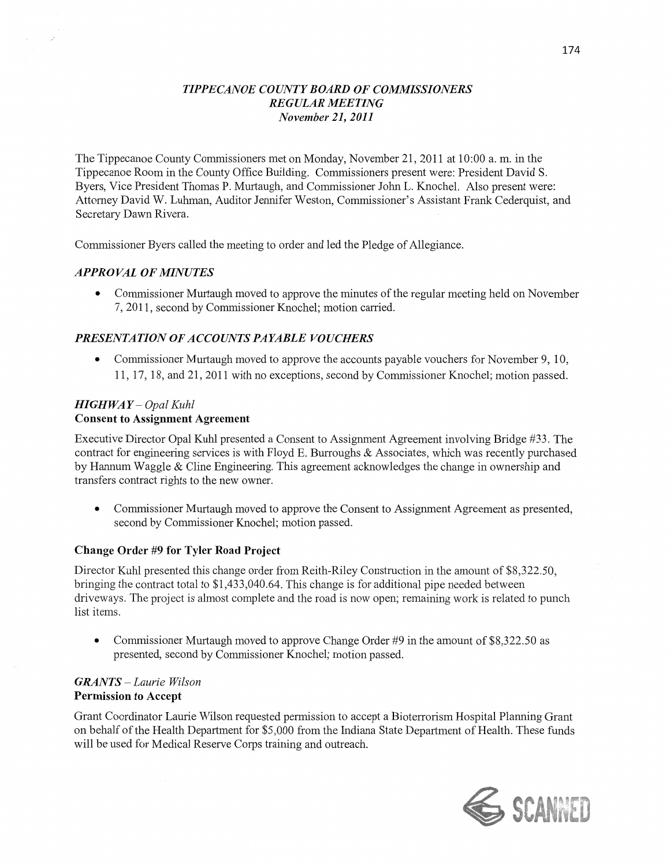## *TIPPECANOE COUNTY BOARD* OF *COMMISSIONERS REGULAR MEETING November* 21, *2011*

The Tippecanoe County Commissioners met on Monday, November 21, 2011 at 10:00 a. m. in the Tippecanoe Room in the County Office Building. Commissioners present were: President David S. Byers, Vice President Thomas P. Murtaugh, and Commissioner John L. Knochel. Also present were: Attorney David W. Luhman, Auditor Jennifer Weston, Commissioner's Assistant Frank Cederquist, and Secretary Dawn Rivera.

Commissioner Byers called the meeting to order and led the Pledge of Allegiance.

#### *APPROVAL* OF *MINUTES*

**0** Commissioner Munaugh moved to approve the **minutes** of the regular meeting held on November 7, 2011, second by Commissioner Knochel; motion carried.

### *PRESENTATION* OF *ACCOUNTS PAYABLE VOUCHERS*

**0** Commissioner Murtaugh moved to approve the accounts payable vouchers for November 9, 10, 11, 17, 18, and 21, 2011 with no exceptions, second by Commissioner Knochel; motion passed.

## *HIGHWAY* **—** *Opal Kuhl*  **Consent** to **Assignment Agreement**

Executive Director Opal Kuhl presented **a** Consent to Assignment Agreement involving Bridge #33. The contract for engineering services is with Floyd E. Burroughs & Associates, which was recently purchased by Hannum Waggle & Cline Engineering. **This** agreement acknowledges the change in ownership and transfers contract rights to the new owner.

**0** Commissioner Murtaugh moved to approve the Consent to Assignment Agreement as presented, second by Commissioner Knochel; motion passed.

#### **Change** Order #9 for Tyler **Road Project**

Director Kuhl presented **this** change order from Reith—Riley Construction in the amount of \$8,322.50, bringing the contract total to \$1,433,040.64. This change is for additional pipe needed between driveways. The project is almost complete and the road is now open; remaining work is related to **punch**  list items.

**0** Commissioner Murtaugh moved to approve Change Order #9 in the amount of \$8,322.50 as presented, second by Commissioner Knochel; motion passed.

## *GRANTS* **—** *Laurie Wilson*  **Permission** to **Accept**

Grant Coordinator Laun'e Wilson requested permission to accept **a** Bioterron'sm Hospital Planning Grant on behalf of the Health Department for \$5,000 from the Indiana State Department of **Health.** These funds will be used for Medical Reserve Corps training and outreach.

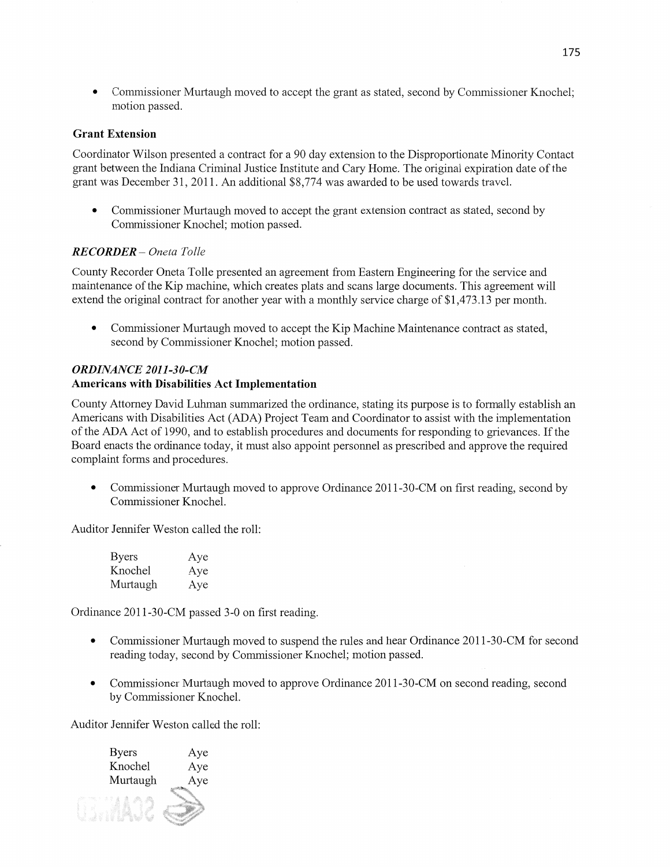**0** Commissioner Murtaugh moved to accept the grant as stated, second by Commissioner Knochel; motion passed.

## Grant **Extension**

Coordinator Wilson presented a contract for a 90 day extension to the Disproportionate Minority Contact grant between the Indiana Criminal Justice Institute and Cary Home. The original expiration date of the grant was December 31, 2011. An additional \$8,774 was awarded to be used towards travel.

**0** Commissioner Murtaugh moved to accept the grant extension contract as stated, second by Commissioner Knochel; motion passed.

# *RECORDER* — *Oneta Tolle*

County Recorder Oneta Tolle presented an agreement from Eastern Engineering for the service and maintenance of the Kip machine, which creates plats and scans large documents. This agreement will extend the original contract for another year with a monthly service charge of \$1,473.13 per month.

**0** Commissioner Murtaugh moved to accept the Kip Machine Maintenance contract as stated, second by Commissioner Knochel; motion passed.

# *ORDINANCE 2011-3 0-CM*  Americans with Disabilities Act **Implementation**

County Attorney David Luhman summarized the ordinance, stating its purpose is to formally establish an Americans with Disabilities Act (ADA) Project Team and Coordinator to assist with the implementation of the ADA Act of 1990, and to establish procedures and documents for responding to grievances. If the Board enacts the ordinance today, it must also appoint personnel as prescribed and approve the required complaint forms and procedures.

• Commissioner Murtaugh moved to approve Ordinance 2011-30-CM on first reading, second by Commissioner Knochel.

Auditor Jennifer Weston called the roll:

| <b>Byers</b> | Aye |
|--------------|-----|
| Knochel      | Aye |
| Murtaugh     | Aye |

Ordinance 2011-30-CM passed 3-0 on first reading.

- Commissioner Murtaugh moved to suspend the rules and hear Ordinance 2011-30-CM for second reading today, second by Commissioner Knochel; motion passed.
- **0** Commissioner Murtaugh moved to approve Ordinance 2011-30-CM on second reading, second by Commissioner Knochel.

Auditor Jennifer Weston called the roll:

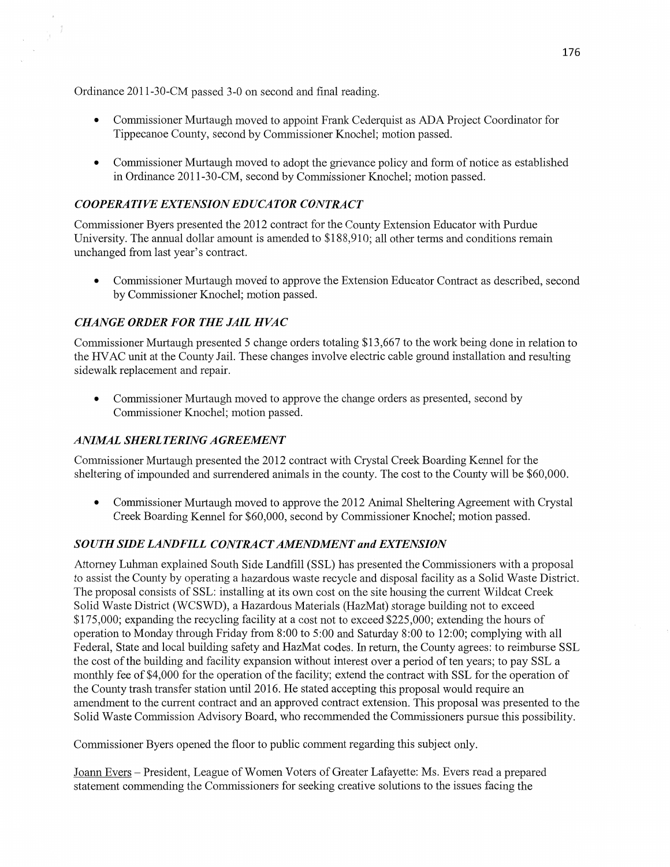Ordinance 2011-30-CM passed 3-0 on second and final reading.

 $\cdot$ 

- **0** Commissioner Murtaugh moved to appoint Frank Cederquist as ADA Project Coordinator for Tippecanoe County, second by Commissioner Knochel; motion passed.
- **0** Commissioner Murtaugh moved to adopt the grievance policy and form of notice as established in Ordinance 201 1-30-CM, second by Commissioner Knochel; motion passed.

# *COOPERATIVE EXTENSIONEDUCATOR CONTRACT*

Commissioner Byers presented the 2012 contract for the County Extension Educator with Purdue University. The annual dollar amount is amended to \$188,910; all other terms and conditions **remain**  unchanged from **last** year's contract.

**0** Commissioner Murtaugh moved to approve the **Extension** Educator Contract as described, second by Commissioner Knochel; **motion** passed.

# **CHANGE ORDER FOR THE JAIL HVAC**

Commissioner Murtaugh presented 5 change orders totaling \$13,667 to the work being done in relation to the **HVAC** unit at the County Jail. These changes involve electric cable ground installation and resulting sidewalk replacement and repair.

• Commissioner Murtaugh moved to approve the change orders as presented, second by Commissioner Knochel; motion passed.

## *ANIMAL SHERLTERING AGREEMENT*

Commissioner Murtaugh presented the 2012 contract With Crystal Creek Boarding Kennel for the sheltering of impounded and surrendered animals in the county. The cost to the County will be \$60,000.

**0** Commissioner Murtaugh moved to approve the 2012 **Animal** Sheltering Agreement with Crystal **Creek** Boarding Kennel for \$60,000, second by Commissioner Knochel; motion passed.

## *SOUTH SIDE LANDFILL CONTRACT AMENDMENT* and *EXTENSION*

Attorney Luhman explained South Side Landfill (SSL) has presented the Commissioners with a proposal to assist the County by operating a hazardous waste recycle and disposal facility as a Solid Waste District. The proposal consists of **SSL:** installing at its own cost on the site housing the current Wildcat Creek Solid Waste District (WCSWD), a Hazardous Materials (HazMat) storage building not to exceed \$175,000; expanding the recycling facility at a cost not to exceed \$225,000; extending the hours of operation to Monday through Friday from 8:00 to 5:00 and Saturday 8:00 to 12:00; complying with all Federal, State and local building safety and HazMat codes. In return, the County agrees: to reimburse SSL the cost of the building and facility expansion without interest over a period of ten years; to pay SSL **a**  monthly fee of \$4,000 for the operation of the facility; extend the contract with SSL for the operation of the County trash transfer station until 2016. He stated accepting this proposal would require an **amendment** to the current contract and an approved contract extension. **This** proposal was presented to the Solid Waste Commission Advisory Board, who recommended the Commissioners pursue this possibility.

Commissioner Byers opened the floor to public cement regarding **this** subject only.

Joann Evers — President, League of Women Voters of Greater Lafayette: Ms. Evers read a prepared statement commending the Commissioners for seeking creative **solutions** to the issues facing the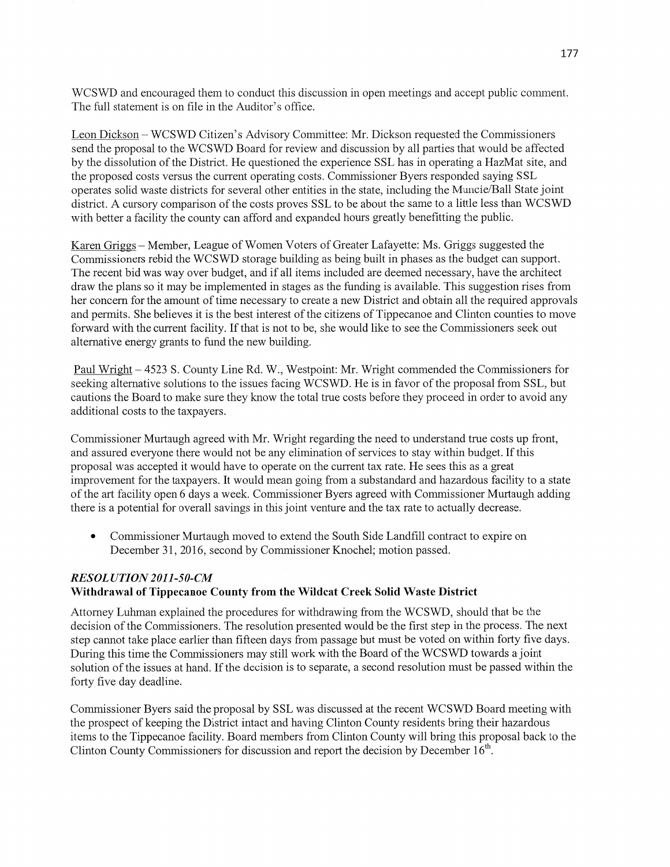WCSWD and encouraged them to conduct this discussion in open meetings and accept public comment. The full statement is on file in the Auditor's office.

Leon Dickson ~ WCSWD Citizen's Advisory Committee: Mr. Dickson requested the Commissioners send the proposal to the WCSWD Board for review and discussion by all parties that would be affected by the dissolution of the District. He questioned the experience SSL has in operating a HazMat site, and the proposed costs versus the current operating costs. Commissioner Byers responded saying SSL operates solid waste districts for several other entities in the state, including the Muncie/Ball State joint district. A cursory comparison of the costs proves SSL to be about the same to a little less than WCSWD with better a facility the county can afford and expanded hours greatly benefitting the public.

Karen Grigg **—** Member, League of Women Voters of Greater Lafayette: Ms. Griggs suggested the Commissioners rebid the WCSWD storage building as being built in phases as the budget can support. The recent bid was way over budget, and if all items included are deemed necessary, have the architect draw the plans so it may be implemented in stages as the funding is available. This suggestion rises from her concern for the amount of time necessary to create a new District and obtain all the required approvals and permits. She believes it is the best interest of the citizens of Tippecanoe and Clinton counties to move forward with the current facility. If that is not to be, she would like to see the Commissioners seek out alternative energy grants to fund the new building.

Paul Wn'ght — 4523 S. County Line Rd. W., Westpoint: Mr. Wright commended the Commissioners for seeking alternative solutions to the issues facing **WCSWD.** He is in favor of the proposal from **SSL,** but cautions the Board to make sure they know the total true costs before they proceed in order to avoid any additional costs to the taxpayers.

Commissioner Murtaugh agreed with Mr. Wright regarding the need to understand true costs up front, and assured everyone there would not be any elimination of services to stay within budget. If this proposal was accepted it would have to operate on the current tax rate. He sees this as a great improvement for the taxpayers. It would mean going from a substandard and hazardous facility to a state of the art facility open 6 days **a** week. Commissioner Byers agreed with Commissioner Munaugh adding there is a potential for overall savings in this joint venture and the tax rate to actually decrease.

• Commissioner Murtaugh moved to extend the South Side Landfill contract to expire on December 31, 2016, second by Commissioner Knochel; motion passed.

# *RESOL UTION 2011-50-CM*  Withdrawal of **Tippecanoe** County **from** the **Wildcat Creek Solid Waste** District

Attorney Luhman explained the procedures for withdrawing from the WCSWD, should that be the decision of the Commissioners. The resolution presented would be the first step in the process. The next step cannot take place earlier than fifteen days from passage but must be voted on Within forty five days. During this time the Commissioners may still work with the Board of the WCSWD towards a joint solution of the issues at hand. If the decision is to separate, a second resolution must be passed within the forty five day deadline.

Commissioner Byers said the proposal by SSL was discussed at the recent WCSWD Board meeting with the prospect of keeping the District intact and having Clinton County residents bring their hazardous items to the Tippecanoe facility. Board members from Clinton County will bring this proposal back to the Clinton County Commissioners for discussion and report the decision by December  $16<sup>th</sup>$ .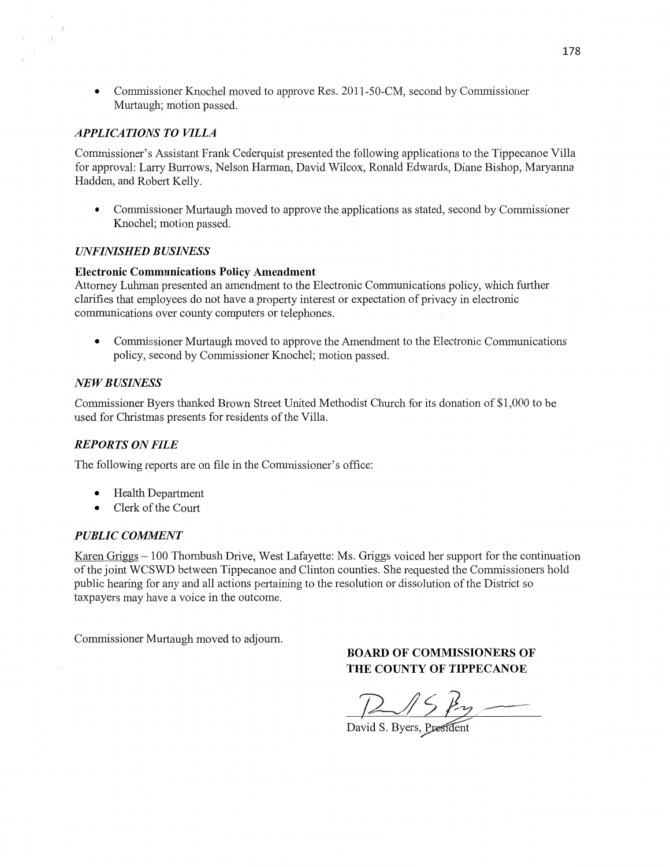**0** Commissioner Knochel moved to approve Res. 2011-50-CM, second by Commissioner Muttaugh; motion passed.

## *APPLICATIONS TO VILLA*

 $\rightarrow$  3

Commissioner's Assistant Frank Cederquist presented the following applications to the Tippecanoe Villa for approval: Larry Burrows, **Nelson** Harman, David Wilcox, Ronald Edwards, Diane **Bishop,** Maryanna Hadden, and Robert Kelly.

• Commissioner Murtaugh moved to approve the applications as stated, second by Commissioner Knochel; **motion** passed.

#### *WFINISHED B USINESS*

#### **Electronic** Communications **Policy Amendment**

Attorney Luhman presented an amendment to the Electronic Communications policy, which further clarifies that employees do not have a property interest or expectation of privacy in electronic communications over county computers or telephones.

**0** Commissioner Murtaugh moved to approve the Amendment to the Electronic Communications policy, second by Commissioner Knochel; motion passed.

#### NE WB *USINESS*

**Commissioner** Byers **thanked** Brown Street United Methodist Church for its donation of \$1,000 to be used for Christmas presents for residents of the Villa.

#### *REPORTS* ON *FILE*

The following reports are on file in the Commissioner's office:

- **0** Health Department
- **0** Clerk of the Court

#### **PUBLIC COMMENT**

Karen Gn'ggs **—** 100 Thornbush Drive, West Lafayette: Ms. Griggs voiced her support for the continuation of the joint WCSWD between Tippecanoe and Clinton counties. She requested the Commissioners hold public hearing for any and all actions pertaining to the resolution or dissolution of the District so taxpayers may have a voice in the outcome.

Commissioner Murtaugh moved to adjourn.

# **BOARD** OF **COMMISSIONERS** OF **THE COUNTY OF TIPPECANOE**

 $B15ky-$ 

David S. Byers, President